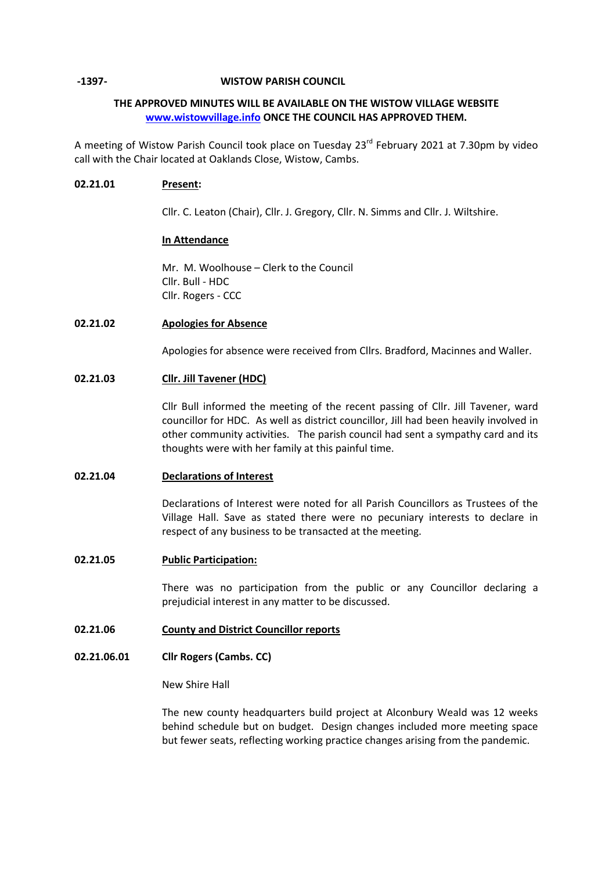### **-1397- WISTOW PARISH COUNCIL**

# **THE APPROVED MINUTES WILL BE AVAILABLE ON THE WISTOW VILLAGE WEBSITE [www.wistowvillage.info](http://www.wistowvillage.info/) ONCE THE COUNCIL HAS APPROVED THEM.**

A meeting of Wistow Parish Council took place on Tuesday 23<sup>rd</sup> February 2021 at 7.30pm by video call with the Chair located at Oaklands Close, Wistow, Cambs.

## **02.21.01 Present:**

Cllr. C. Leaton (Chair), Cllr. J. Gregory, Cllr. N. Simms and Cllr. J. Wiltshire.

## **In Attendance**

Mr. M. Woolhouse – Clerk to the Council Cllr. Bull - HDC Cllr. Rogers - CCC

## **02.21.02 Apologies for Absence**

Apologies for absence were received from Cllrs. Bradford, Macinnes and Waller.

## **02.21.03 Cllr. Jill Tavener (HDC)**

Cllr Bull informed the meeting of the recent passing of Cllr. Jill Tavener, ward councillor for HDC. As well as district councillor, Jill had been heavily involved in other community activities. The parish council had sent a sympathy card and its thoughts were with her family at this painful time.

### **02.21.04 Declarations of Interest**

Declarations of Interest were noted for all Parish Councillors as Trustees of the Village Hall. Save as stated there were no pecuniary interests to declare in respect of any business to be transacted at the meeting.

### **02.21.05 Public Participation:**

There was no participation from the public or any Councillor declaring a prejudicial interest in any matter to be discussed.

#### **02.21.06 County and District Councillor reports**

#### **02.21.06.01 Cllr Rogers (Cambs. CC)**

New Shire Hall

The new county headquarters build project at Alconbury Weald was 12 weeks behind schedule but on budget. Design changes included more meeting space but fewer seats, reflecting working practice changes arising from the pandemic.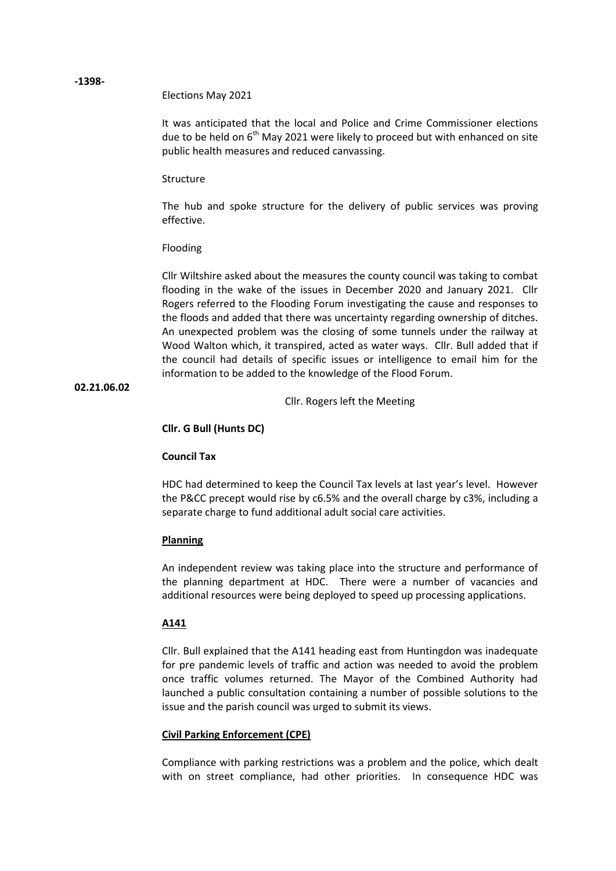Elections May 2021

It was anticipated that the local and Police and Crime Commissioner elections due to be held on  $6<sup>th</sup>$  May 2021 were likely to proceed but with enhanced on site public health measures and reduced canvassing.

### Structure

The hub and spoke structure for the delivery of public services was proving effective.

### Flooding

Cllr Wiltshire asked about the measures the county council was taking to combat flooding in the wake of the issues in December 2020 and January 2021. Cllr Rogers referred to the Flooding Forum investigating the cause and responses to the floods and added that there was uncertainty regarding ownership of ditches. An unexpected problem was the closing of some tunnels under the railway at Wood Walton which, it transpired, acted as water ways. Cllr. Bull added that if the council had details of specific issues or intelligence to email him for the information to be added to the knowledge of the Flood Forum.

**02.21.06.02**

Cllr. Rogers left the Meeting

## **Cllr. G Bull (Hunts DC)**

### **Council Tax**

HDC had determined to keep the Council Tax levels at last year's level. However the P&CC precept would rise by c6.5% and the overall charge by c3%, including a separate charge to fund additional adult social care activities.

### **Planning**

An independent review was taking place into the structure and performance of the planning department at HDC. There were a number of vacancies and additional resources were being deployed to speed up processing applications.

### **A141**

Cllr. Bull explained that the A141 heading east from Huntingdon was inadequate for pre pandemic levels of traffic and action was needed to avoid the problem once traffic volumes returned. The Mayor of the Combined Authority had launched a public consultation containing a number of possible solutions to the issue and the parish council was urged to submit its views.

### **Civil Parking Enforcement (CPE)**

Compliance with parking restrictions was a problem and the police, which dealt with on street compliance, had other priorities. In consequence HDC was

### **-1398-**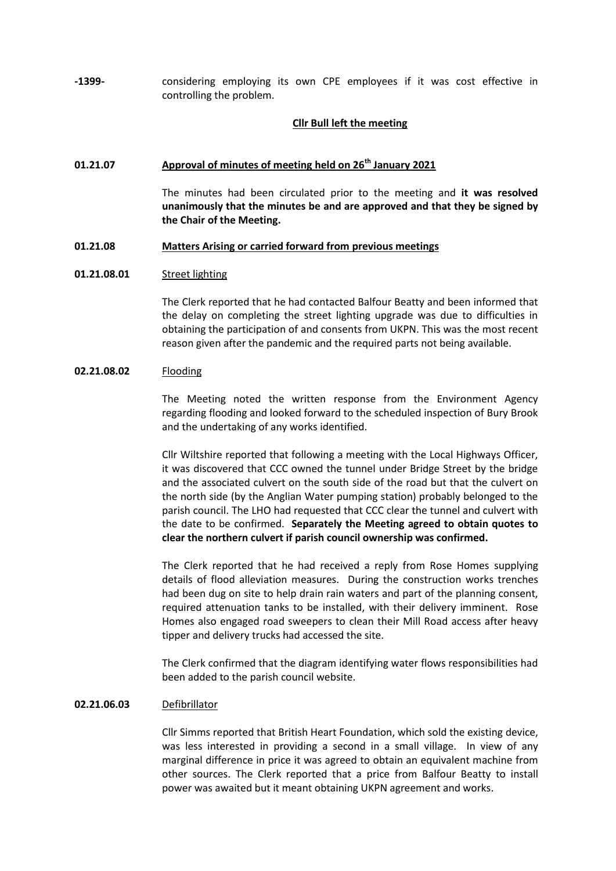**-1399-** considering employing its own CPE employees if it was cost effective in controlling the problem.

### **Cllr Bull left the meeting**

# **01.21.07 Approval of minutes of meeting held on 26 th January 2021**

The minutes had been circulated prior to the meeting and **it was resolved unanimously that the minutes be and are approved and that they be signed by the Chair of the Meeting.**

#### **01.21.08 Matters Arising or carried forward from previous meetings**

#### **01.21.08.01** Street lighting

The Clerk reported that he had contacted Balfour Beatty and been informed that the delay on completing the street lighting upgrade was due to difficulties in obtaining the participation of and consents from UKPN. This was the most recent reason given after the pandemic and the required parts not being available.

#### **02.21.08.02** Flooding

The Meeting noted the written response from the Environment Agency regarding flooding and looked forward to the scheduled inspection of Bury Brook and the undertaking of any works identified.

Cllr Wiltshire reported that following a meeting with the Local Highways Officer, it was discovered that CCC owned the tunnel under Bridge Street by the bridge and the associated culvert on the south side of the road but that the culvert on the north side (by the Anglian Water pumping station) probably belonged to the parish council. The LHO had requested that CCC clear the tunnel and culvert with the date to be confirmed. **Separately the Meeting agreed to obtain quotes to clear the northern culvert if parish council ownership was confirmed.**

The Clerk reported that he had received a reply from Rose Homes supplying details of flood alleviation measures. During the construction works trenches had been dug on site to help drain rain waters and part of the planning consent, required attenuation tanks to be installed, with their delivery imminent. Rose Homes also engaged road sweepers to clean their Mill Road access after heavy tipper and delivery trucks had accessed the site.

The Clerk confirmed that the diagram identifying water flows responsibilities had been added to the parish council website.

### **02.21.06.03** Defibrillator

Cllr Simms reported that British Heart Foundation, which sold the existing device, was less interested in providing a second in a small village. In view of any marginal difference in price it was agreed to obtain an equivalent machine from other sources. The Clerk reported that a price from Balfour Beatty to install power was awaited but it meant obtaining UKPN agreement and works.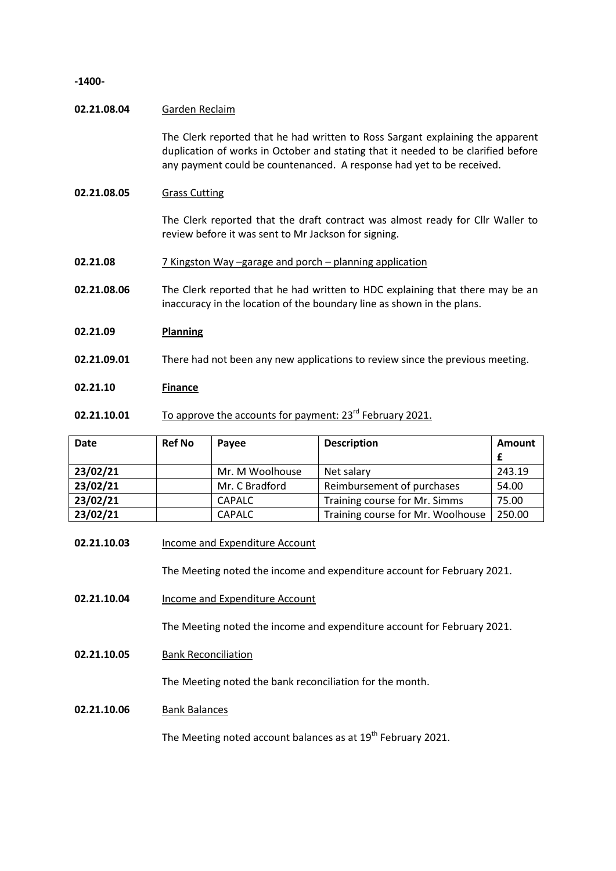**-1400-**

### **02.21.08.04** Garden Reclaim

The Clerk reported that he had written to Ross Sargant explaining the apparent duplication of works in October and stating that it needed to be clarified before any payment could be countenanced. A response had yet to be received.

# **02.21.08.05** Grass Cutting

The Clerk reported that the draft contract was almost ready for Cllr Waller to review before it was sent to Mr Jackson for signing.

- **02.21.08** 7 Kingston Way –garage and porch – planning application
- **02.21.08.06** The Clerk reported that he had written to HDC explaining that there may be an inaccuracy in the location of the boundary line as shown in the plans.

#### **02.21.09 Planning**

**02.21.09.01** There had not been any new applications to review since the previous meeting.

## **02.21.10 Finance**

**02.21.10.01** To approve the accounts for payment: 23<sup>rd</sup> February 2021.

| <b>Date</b> | <b>Ref No</b> | Payee           | <b>Description</b>                | Amount |
|-------------|---------------|-----------------|-----------------------------------|--------|
|             |               |                 |                                   |        |
| 23/02/21    |               | Mr. M Woolhouse | Net salary                        | 243.19 |
| 23/02/21    |               | Mr. C Bradford  | Reimbursement of purchases        | 54.00  |
| 23/02/21    |               | <b>CAPALC</b>   | Training course for Mr. Simms     | 75.00  |
| 23/02/21    |               | <b>CAPALC</b>   | Training course for Mr. Woolhouse | 250.00 |

### **02.21.10.03** Income and Expenditure Account

The Meeting noted the income and expenditure account for February 2021.

**02.21.10.04** Income and Expenditure Account

The Meeting noted the income and expenditure account for February 2021.

**02.21.10.05** Bank Reconciliation

The Meeting noted the bank reconciliation for the month.

**02.21.10.06** Bank Balances

The Meeting noted account balances as at  $19<sup>th</sup>$  February 2021.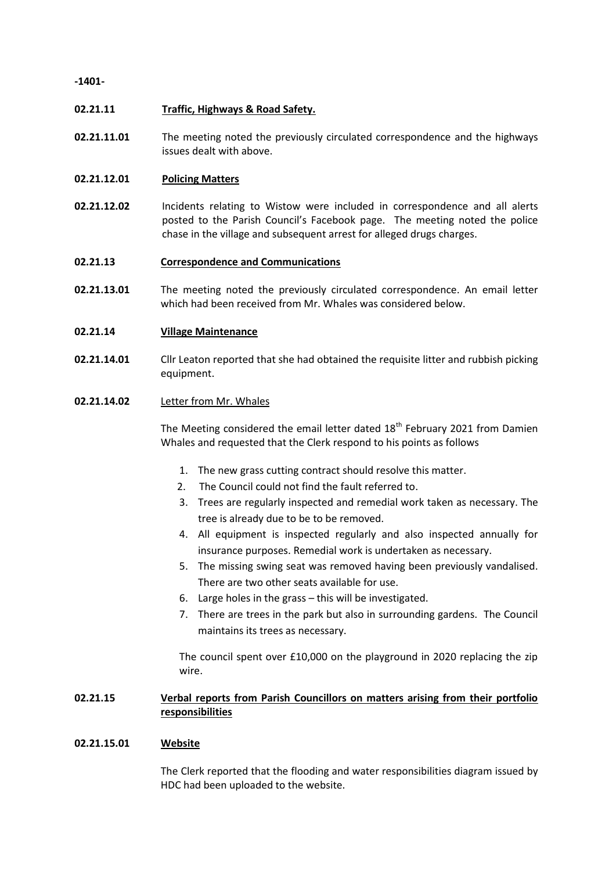**-1401-**

#### **02.21.11 Traffic, Highways & Road Safety.**

**02.21.11.01** The meeting noted the previously circulated correspondence and the highways issues dealt with above.

#### **02.21.12.01 Policing Matters**

**02.21.12.02** Incidents relating to Wistow were included in correspondence and all alerts posted to the Parish Council's Facebook page. The meeting noted the police chase in the village and subsequent arrest for alleged drugs charges.

#### **02.21.13 Correspondence and Communications**

**02.21.13.01** The meeting noted the previously circulated correspondence. An email letter which had been received from Mr. Whales was considered below.

#### **02.21.14 Village Maintenance**

**02.21.14.01** Cllr Leaton reported that she had obtained the requisite litter and rubbish picking equipment.

## **02.21.14.02** Letter from Mr. Whales

The Meeting considered the email letter dated 18<sup>th</sup> February 2021 from Damien Whales and requested that the Clerk respond to his points as follows

- 1. The new grass cutting contract should resolve this matter.
- 2. The Council could not find the fault referred to.
- 3. Trees are regularly inspected and remedial work taken as necessary. The tree is already due to be to be removed.
- 4. All equipment is inspected regularly and also inspected annually for insurance purposes. Remedial work is undertaken as necessary.
- 5. The missing swing seat was removed having been previously vandalised. There are two other seats available for use.
- 6. Large holes in the grass this will be investigated.
- 7. There are trees in the park but also in surrounding gardens. The Council maintains its trees as necessary.

The council spent over £10,000 on the playground in 2020 replacing the zip wire.

# **02.21.15 Verbal reports from Parish Councillors on matters arising from their portfolio responsibilities**

### **02.21.15.01 Website**

The Clerk reported that the flooding and water responsibilities diagram issued by HDC had been uploaded to the website.